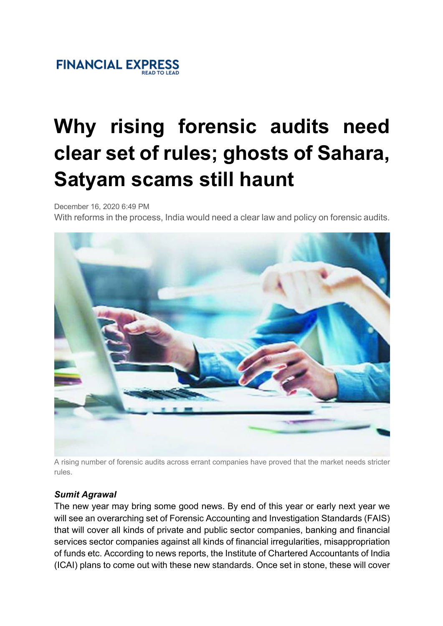# **Why rising forensic audits need clear set of rules; ghosts of Sahara, Satyam scams still haunt**

December 16, 2020 6:49 PM

With reforms in the process, India would need a clear law and policy on forensic audits.



A rising number of forensic audits across errant companies have proved that the market needs stricter rules.

### *Sumit Agrawal*

The new year may bring some good news. By end of this year or early next year we will see an overarching set of Forensic Accounting and Investigation Standards (FAIS) that will cover all kinds of private and public sector companies, banking and financial services sector companies against all kinds of financial irregularities, misappropriation of funds etc. According to news reports, the Institute of Chartered Accountants of India (ICAI) plans to come out with these new standards. Once set in stone, these will cover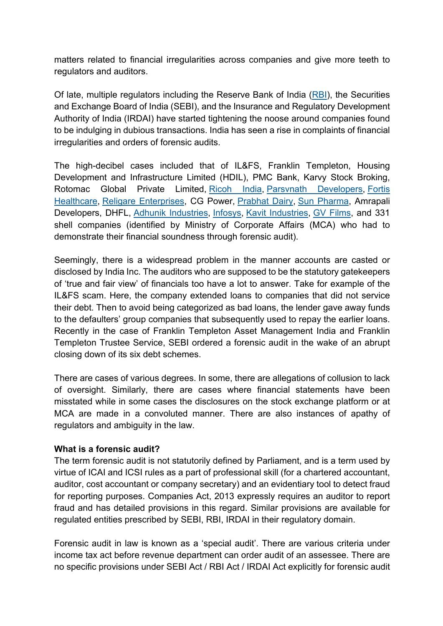matters related to financial irregularities across companies and give more teeth to regulators and auditors.

Of late, multiple regulators including the Reserve Bank of India (RBI), the Securities and Exchange Board of India (SEBI), and the Insurance and Regulatory Development Authority of India (IRDAI) have started tightening the noose around companies found to be indulging in dubious transactions. India has seen a rise in complaints of financial irregularities and orders of forensic audits.

The high-decibel cases included that of IL&FS, Franklin Templeton, Housing Development and Infrastructure Limited (HDIL), PMC Bank, Karvy Stock Broking, Rotomac Global Private Limited, Ricoh India, Parsvnath Developers, Fortis Healthcare, Religare Enterprises, CG Power, Prabhat Dairy, Sun Pharma, Amrapali Developers, DHFL, Adhunik Industries, Infosys, Kavit Industries, GV Films, and 331 shell companies (identified by Ministry of Corporate Affairs (MCA) who had to demonstrate their financial soundness through forensic audit).

Seemingly, there is a widespread problem in the manner accounts are casted or disclosed by India Inc. The auditors who are supposed to be the statutory gatekeepers of 'true and fair view' of financials too have a lot to answer. Take for example of the IL&FS scam. Here, the company extended loans to companies that did not service their debt. Then to avoid being categorized as bad loans, the lender gave away funds to the defaulters' group companies that subsequently used to repay the earlier loans. Recently in the case of Franklin Templeton Asset Management India and Franklin Templeton Trustee Service, SEBI ordered a forensic audit in the wake of an abrupt closing down of its six debt schemes.

There are cases of various degrees. In some, there are allegations of collusion to lack of oversight. Similarly, there are cases where financial statements have been misstated while in some cases the disclosures on the stock exchange platform or at MCA are made in a convoluted manner. There are also instances of apathy of regulators and ambiguity in the law.

#### **What is a forensic audit?**

The term forensic audit is not statutorily defined by Parliament, and is a term used by virtue of ICAI and ICSI rules as a part of professional skill (for a chartered accountant, auditor, cost accountant or company secretary) and an evidentiary tool to detect fraud for reporting purposes. Companies Act, 2013 expressly requires an auditor to report fraud and has detailed provisions in this regard. Similar provisions are available for regulated entities prescribed by SEBI, RBI, IRDAI in their regulatory domain.

Forensic audit in law is known as a 'special audit'. There are various criteria under income tax act before revenue department can order audit of an assessee. There are no specific provisions under SEBI Act / RBI Act / IRDAI Act explicitly for forensic audit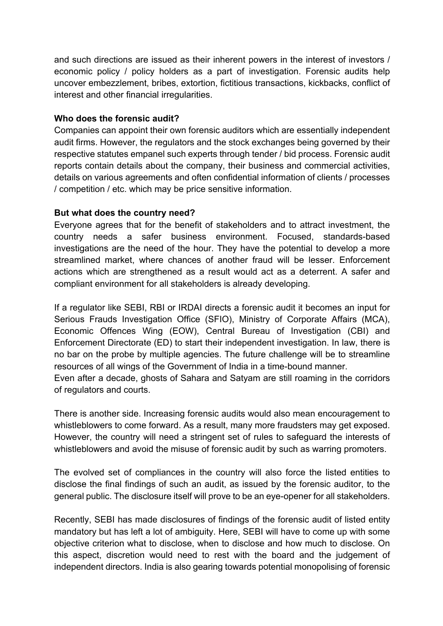and such directions are issued as their inherent powers in the interest of investors / economic policy / policy holders as a part of investigation. Forensic audits help uncover embezzlement, bribes, extortion, fictitious transactions, kickbacks, conflict of interest and other financial irregularities.

#### **Who does the forensic audit?**

Companies can appoint their own forensic auditors which are essentially independent audit firms. However, the regulators and the stock exchanges being governed by their respective statutes empanel such experts through tender / bid process. Forensic audit reports contain details about the company, their business and commercial activities, details on various agreements and often confidential information of clients / processes / competition / etc. which may be price sensitive information.

#### **But what does the country need?**

Everyone agrees that for the benefit of stakeholders and to attract investment, the country needs a safer business environment. Focused, standards-based investigations are the need of the hour. They have the potential to develop a more streamlined market, where chances of another fraud will be lesser. Enforcement actions which are strengthened as a result would act as a deterrent. A safer and compliant environment for all stakeholders is already developing.

If a regulator like SEBI, RBI or IRDAI directs a forensic audit it becomes an input for Serious Frauds Investigation Office (SFIO), Ministry of Corporate Affairs (MCA), Economic Offences Wing (EOW), Central Bureau of Investigation (CBI) and Enforcement Directorate (ED) to start their independent investigation. In law, there is no bar on the probe by multiple agencies. The future challenge will be to streamline resources of all wings of the Government of India in a time-bound manner.

Even after a decade, ghosts of Sahara and Satyam are still roaming in the corridors of regulators and courts.

There is another side. Increasing forensic audits would also mean encouragement to whistleblowers to come forward. As a result, many more fraudsters may get exposed. However, the country will need a stringent set of rules to safeguard the interests of whistleblowers and avoid the misuse of forensic audit by such as warring promoters.

The evolved set of compliances in the country will also force the listed entities to disclose the final findings of such an audit, as issued by the forensic auditor, to the general public. The disclosure itself will prove to be an eye-opener for all stakeholders.

Recently, SEBI has made disclosures of findings of the forensic audit of listed entity mandatory but has left a lot of ambiguity. Here, SEBI will have to come up with some objective criterion what to disclose, when to disclose and how much to disclose. On this aspect, discretion would need to rest with the board and the judgement of independent directors. India is also gearing towards potential monopolising of forensic